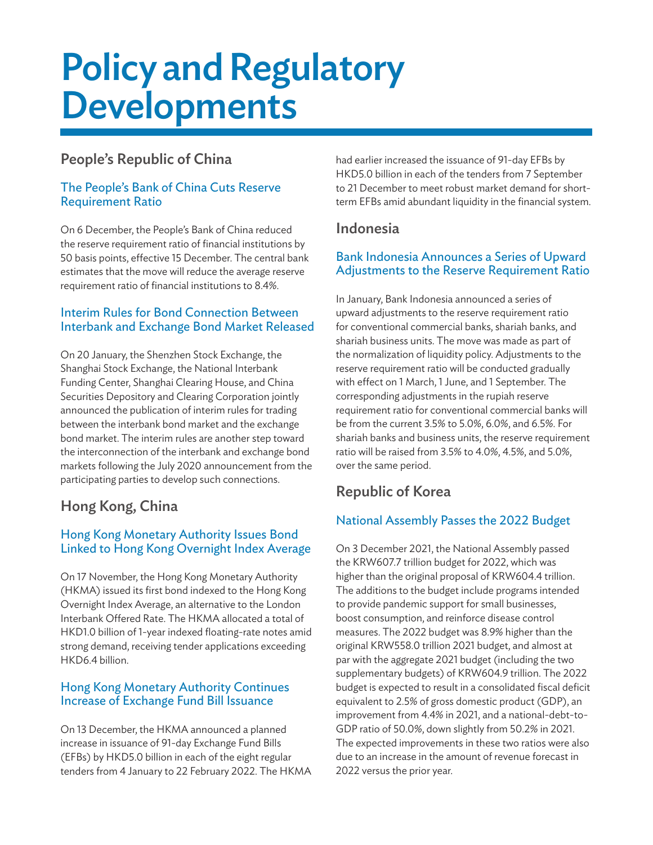# Policy and Regulatory Developments

## People's Republic of China

#### The People's Bank of China Cuts Reserve Requirement Ratio

On 6 December, the People's Bank of China reduced the reserve requirement ratio of financial institutions by 50 basis points, effective 15 December. The central bank estimates that the move will reduce the average reserve requirement ratio of financial institutions to 8.4%.

#### Interim Rules for Bond Connection Between Interbank and Exchange Bond Market Released

On 20 January, the Shenzhen Stock Exchange, the Shanghai Stock Exchange, the National Interbank Funding Center, Shanghai Clearing House, and China Securities Depository and Clearing Corporation jointly announced the publication of interim rules for trading between the interbank bond market and the exchange bond market. The interim rules are another step toward the interconnection of the interbank and exchange bond markets following the July 2020 announcement from the participating parties to develop such connections.

# Hong Kong, China

## Hong Kong Monetary Authority Issues Bond Linked to Hong Kong Overnight Index Average

On 17 November, the Hong Kong Monetary Authority (HKMA) issued its first bond indexed to the Hong Kong Overnight Index Average, an alternative to the London Interbank Offered Rate. The HKMA allocated a total of HKD1.0 billion of 1-year indexed floating-rate notes amid strong demand, receiving tender applications exceeding HKD6.4 billion.

#### Hong Kong Monetary Authority Continues Increase of Exchange Fund Bill Issuance

On 13 December, the HKMA announced a planned increase in issuance of 91-day Exchange Fund Bills (EFBs) by HKD5.0 billion in each of the eight regular tenders from 4 January to 22 February 2022. The HKMA had earlier increased the issuance of 91-day EFBs by HKD5.0 billion in each of the tenders from 7 September to 21 December to meet robust market demand for shortterm EFBs amid abundant liquidity in the financial system.

## Indonesia

#### Bank Indonesia Announces a Series of Upward Adjustments to the Reserve Requirement Ratio

In January, Bank Indonesia announced a series of upward adjustments to the reserve requirement ratio for conventional commercial banks, shariah banks, and shariah business units. The move was made as part of the normalization of liquidity policy. Adjustments to the reserve requirement ratio will be conducted gradually with effect on 1 March, 1 June, and 1 September. The corresponding adjustments in the rupiah reserve requirement ratio for conventional commercial banks will be from the current 3.5% to 5.0%, 6.0%, and 6.5%. For shariah banks and business units, the reserve requirement ratio will be raised from 3.5% to 4.0%, 4.5%, and 5.0%, over the same period.

# Republic of Korea

## National Assembly Passes the 2022 Budget

On 3 December 2021, the National Assembly passed the KRW607.7 trillion budget for 2022, which was higher than the original proposal of KRW604.4 trillion. The additions to the budget include programs intended to provide pandemic support for small businesses, boost consumption, and reinforce disease control measures. The 2022 budget was 8.9% higher than the original KRW558.0 trillion 2021 budget, and almost at par with the aggregate 2021 budget (including the two supplementary budgets) of KRW604.9 trillion. The 2022 budget is expected to result in a consolidated fiscal deficit equivalent to 2.5% of gross domestic product (GDP), an improvement from 4.4% in 2021, and a national-debt-to-GDP ratio of 50.0%, down slightly from 50.2% in 2021. The expected improvements in these two ratios were also due to an increase in the amount of revenue forecast in 2022 versus the prior year.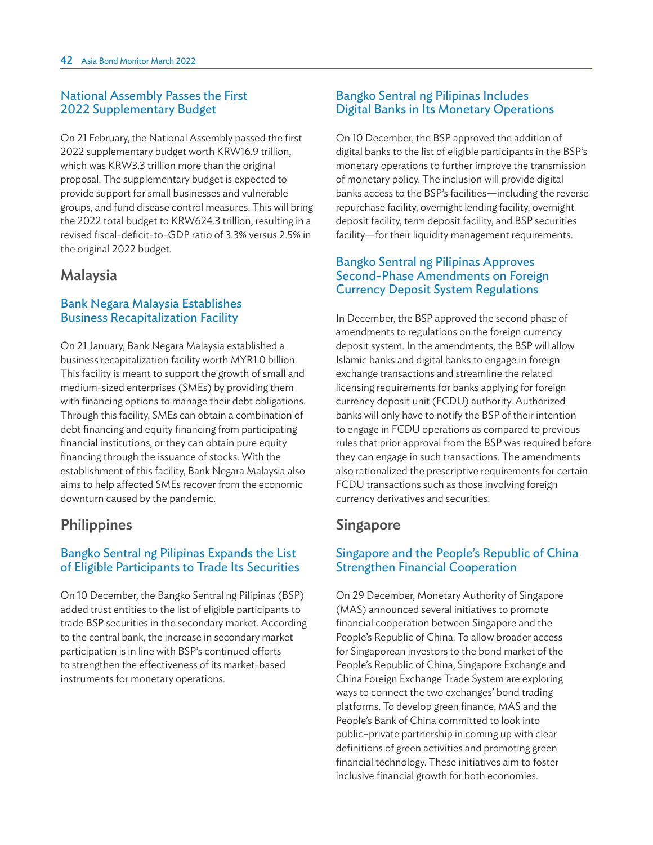#### National Assembly Passes the First 2022 Supplementary Budget

On 21 February, the National Assembly passed the first 2022 supplementary budget worth KRW16.9 trillion, which was KRW3.3 trillion more than the original proposal. The supplementary budget is expected to provide support for small businesses and vulnerable groups, and fund disease control measures. This will bring the 2022 total budget to KRW624.3 trillion, resulting in a revised fiscal-deficit-to-GDP ratio of 3.3% versus 2.5% in the original 2022 budget.

## Malaysia

#### Bank Negara Malaysia Establishes Business Recapitalization Facility

On 21 January, Bank Negara Malaysia established a business recapitalization facility worth MYR1.0 billion. This facility is meant to support the growth of small and medium-sized enterprises (SMEs) by providing them with financing options to manage their debt obligations. Through this facility, SMEs can obtain a combination of debt financing and equity financing from participating financial institutions, or they can obtain pure equity financing through the issuance of stocks. With the establishment of this facility, Bank Negara Malaysia also aims to help affected SMEs recover from the economic downturn caused by the pandemic.

# **Philippines**

#### Bangko Sentral ng Pilipinas Expands the List of Eligible Participants to Trade Its Securities

On 10 December, the Bangko Sentral ng Pilipinas (BSP) added trust entities to the list of eligible participants to trade BSP securities in the secondary market. According to the central bank, the increase in secondary market participation is in line with BSP's continued efforts to strengthen the effectiveness of its market-based instruments for monetary operations.

#### Bangko Sentral ng Pilipinas Includes Digital Banks in Its Monetary Operations

On 10 December, the BSP approved the addition of digital banks to the list of eligible participants in the BSP's monetary operations to further improve the transmission of monetary policy. The inclusion will provide digital banks access to the BSP's facilities—including the reverse repurchase facility, overnight lending facility, overnight deposit facility, term deposit facility, and BSP securities facility—for their liquidity management requirements.

#### Bangko Sentral ng Pilipinas Approves Second-Phase Amendments on Foreign Currency Deposit System Regulations

In December, the BSP approved the second phase of amendments to regulations on the foreign currency deposit system. In the amendments, the BSP will allow Islamic banks and digital banks to engage in foreign exchange transactions and streamline the related licensing requirements for banks applying for foreign currency deposit unit (FCDU) authority. Authorized banks will only have to notify the BSP of their intention to engage in FCDU operations as compared to previous rules that prior approval from the BSP was required before they can engage in such transactions. The amendments also rationalized the prescriptive requirements for certain FCDU transactions such as those involving foreign currency derivatives and securities.

## Singapore

### Singapore and the People's Republic of China Strengthen Financial Cooperation

On 29 December, Monetary Authority of Singapore (MAS) announced several initiatives to promote financial cooperation between Singapore and the People's Republic of China. To allow broader access for Singaporean investors to the bond market of the People's Republic of China, Singapore Exchange and China Foreign Exchange Trade System are exploring ways to connect the two exchanges' bond trading platforms. To develop green finance, MAS and the People's Bank of China committed to look into public–private partnership in coming up with clear definitions of green activities and promoting green financial technology. These initiatives aim to foster inclusive financial growth for both economies.